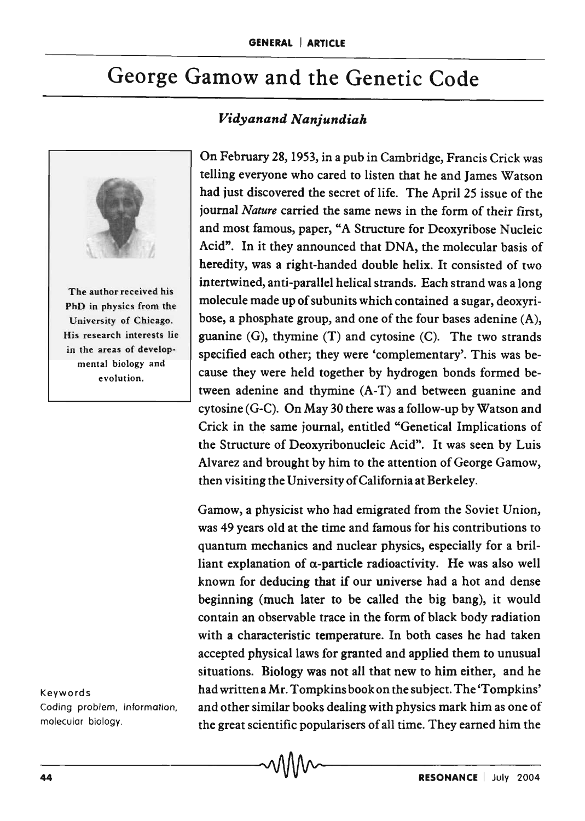## George Gamow and the Genetic Code

## *Vidyanand Nanjundiah*



The author received his PhD in physics from the University of Chicago. His research interests lie in the areas of develop. mental biology and evolution.

On February 28, 1953, in a pub in Cambridge, Francis Crick was telling everyone who cared to listen that he and James Watson had just discovered the secret of life. The April 25 issue of the journal *Nature* carried the same news in the form of their first, and most famous, paper, "A Structure for Deoxyribose Nucleic Acid". In it they announced that DNA, the molecular basis of heredity, was a right-handed double helix. It consisted of two intertwined, anti-parallel helical strands. Each strand was a long molecule made up of subunits which contained a sugar, deoxyribose, a phosphate group, and one of the four bases adenine (A), guanine (G), thymine (T) and cytosine (C). The two strands specified each other; they were 'complementary'. This was because they were held together by hydrogen bonds formed between adenine and thymine (A-T) and between guanine and cytosine (G-C). On May 30 there was a follow-up by Watson and Crick in the same journal, entitled "Genetical Implications of the Structure of Deoxyribonucleic Acid". It was seen by Luis Alvarez and brought by him to the attention of George Gamow, then visiting the University of California at Berkeley.

Gamow, a physicist who had emigrated from the Soviet Union, was 49 years old at the time and famous for his contributions to quantum mechanics and nuclear physics, especially for a brilliant explanation of  $\alpha$ -particle radioactivity. He was also well known for deducing that if our universe had a hot and dense beginning (much later to be called the big bang), it would contain an observable trace in the form of black body radiation with a characteristic temperature. In both cases he had taken accepted physical laws for granted and applied them to unusual situations. Biology was not all that new to him either, and he Keywords had written a Mr. Tompkins book on the subject. The 'Tompkins' Coding problem, information, and other similar books dealing with physics mark him as one of molecular biology. the great scientific popularisers of all time. They earned him the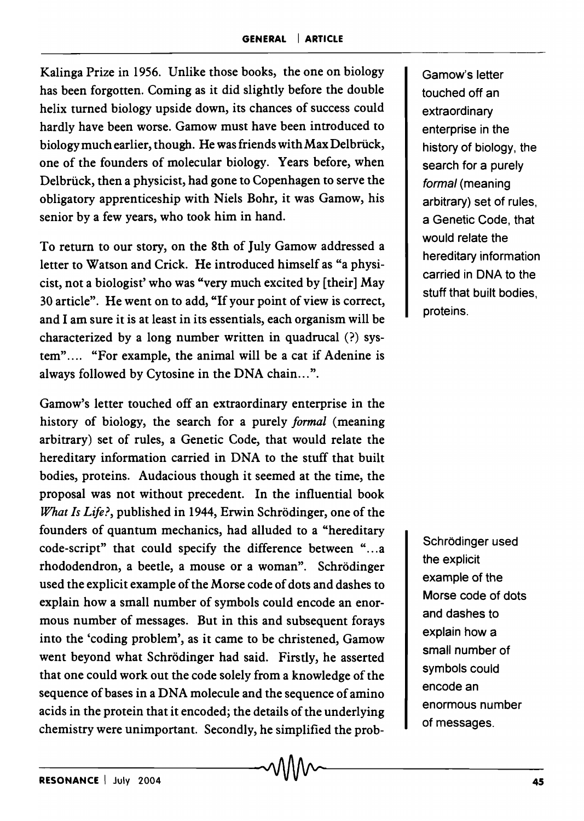Kalinga Prize in 1956. Unlike those books, the one on biology has been forgotten. Coming as it did slightly before the double helix turned biology upside down, its chances of success could hardly have been worse. Gamow must have been introduced to biology much earlier, though. He was friends with Max Delbriick, one of the founders of molecular biology. Years before, when Delbrück, then a physicist, had gone to Copenhagen to serve the obligatory apprenticeship with Niels Bohr, it was Gamow, his senior by a few years, who took him in hand.

To return to our story, on the 8th of July Gamow addressed a letter to Watson and Crick. He introduced himself as "a physicist, not a biologist' who was "very much excited by [ their] May 30 article". He went on to add, "If your point of view is correct, and I am sure it is at least in its essentials, each organism will be characterized by a long number written in quadrucal (?) system".... "For example, the animal will be a cat if Adenine is always followed by Cytosine in the DNA chain...".

Gamow's letter touched off an extraordinary enterprise in the history of biology, the search for a purely *formal* (meaning arbitrary) set of rules, a Genetic Code, that would relate the hereditary information carried in DNA to the stuff that built bodies, proteins. Audacious though it seemed at the time, the proposal was not without precedent. In the influential book *What Is Life?*, published in 1944, Erwin Schrödinger, one of the founders of quantum mechanics, had alluded to a "hereditary code-script" that could specify the difference between "...a rhododendron, a beetle, a mouse or a woman". Schrodinger used the explicit example of the Morse code of dots and dashes to explain how a small number of symbols could encode an enormous number of messages. But in this and subsequent forays into the 'coding problem', as it came to be christened, Gamow went beyond what Schrödinger had said. Firstly, he asserted that one could work out the code solely from a knowledge of the sequence of bases in a DNA molecule and the sequence of amino acids in the protein that it encoded; the details of the underlying chemistry were unimportant. Secondly, he simplified the probGamow's letter touched off an extraordinary enterprise in the history of biology, the search for a purely formal (meaning arbitrary) set of rules, a Genetic Code, that would relate the hereditary information carried in DNA to the stuff that built bodies, proteins.

Schrödinger used the explicit example of the Morse code of dots and dashes to explain how a small number of symbols could encode an enormous number of messages.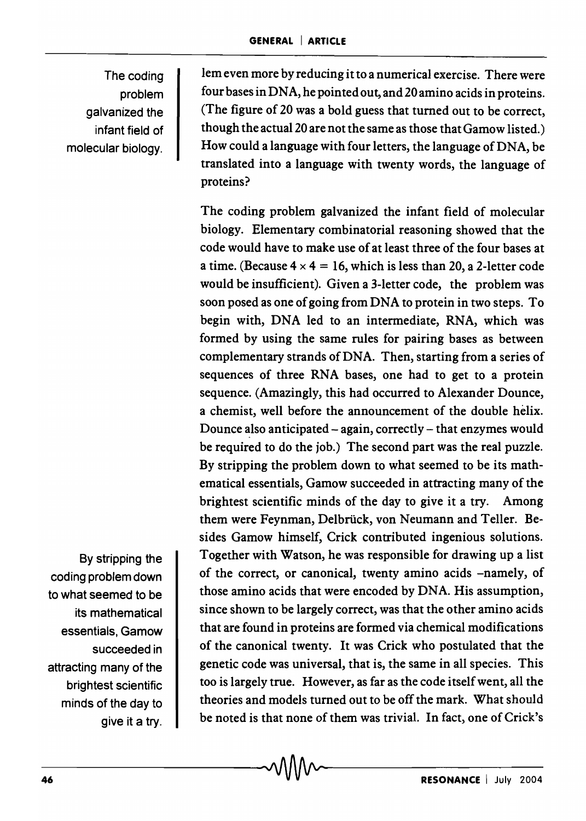The coding problem galvanized the infant field of molecular biology.

lem even more by reducing it to a numerical exercise. There were four bases in DNA, he pointed out, and 20 amino acids in proteins. (The figure of 20 was a bold guess that turned out to be correct, though the actual 20 are not the same as those that Gamow listed.) How could a language with four letters, the language of DNA, be translated into a language with twenty words, the language of proteins?

The coding problem galvanized the infant field of molecular biology. Elementary combinatorial reasoning showed that the code would have to make use of at least three of the four bases at a time. (Because  $4 \times 4 = 16$ , which is less than 20, a 2-letter code would be insufficient). Given a 3-letter code, the problem was soon posed as one of going from DNA to protein in two steps. To begin with, DNA led to an intermediate, RNA, which was formed by using the same rules for pairing bases as between complementary strands of DNA. Then, starting from a series of sequences of three RNA bases, one had to get to a protein sequence. (Amazingly, this had occurred to Alexander Dounce, a chemist, well before the announcement of the double helix. Dounce also anticipated  $-$  again, correctly  $-$  that enzymes would be required to do the job.) The second part was the real puzzle. By stripping the problem down to what seemed to be its mathematical essentials, Gamow succeeded in attracting many of the brightest scientific minds of the day to give it a try. Among them were Feynman, Delbrück, von Neumann and Teller. Besides Gamow himself, Crick contributed ingenious solutions. Together with Watson, he was responsible for drawing up a list of the correct, or canonical, twenty amino acids -namely, of those amino acids that were encoded by DNA. His assumption, since shown to be largely correct, was that the other amino acids that are found in proteins are formed via chemical modifications of the canonical twenty. It was Crick who postulated that the genetic code was universal, that is, the same in all species. This too is largely true. However, as far as the code itself went, all the theories and models turned out to be off the mark. What should be noted is that none of them was trivial. In fact, one of Crick's

By stripping the coding problem down to what seemed to be its mathematical essentials, Gamow succeeded in attracting many of the brightest scientific minds of the day to give it a try.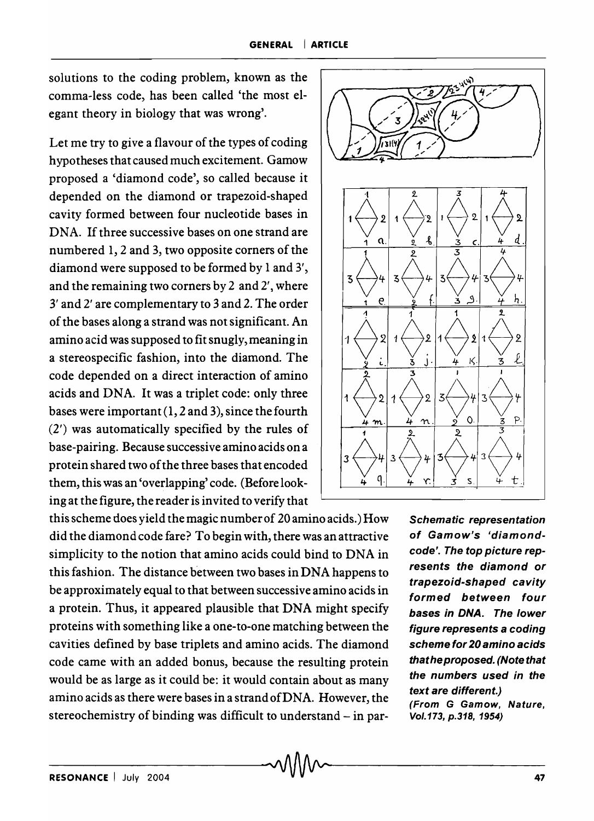solutions to the coding problem, known as the comma-less code, has been called 'the most elegant theory in biology that was wrong'.

Let me try to give a flavour of the types of coding hypotheses that caused much excitement. Gamow proposed a 'diamond code', so called because it depended on the diamond or trapezoid-shaped cavity formed between four nucleotide bases in DNA. If three successive bases on one strand are numbered 1, 2 and 3, two opposite corners of the diamond were supposed to be formed by 1 and 3', and the remaining two corners by 2 and 2', where 3' and 2' are complementary to 3 and 2. The order of the bases along a strand was not significant. An amino acid was supposed to fit snugly, meaning in a stereospecific fashion, into the diamond. The code depended on a direct interaction of amino acids and DNA. It was a triplet code: only three bases were important (1, 2 and 3), since the fourth (2') was automatically specified by the rules of base-pairing. Because successive amino acids on a protein shared two of the three bases that encoded them, this was an 'overlapping' code. (Before looking at the figure, the reader is invited to verify that

this scheme does yield the magic number of 20 amino acids.) How did the diamond code fare? To begin with, there was an attractive simplicity to the notion that amino acids could bind to DNA in this fashion. The distance between two bases in DNA happens to be approximately equal to that between successive amino acids in a protein. Thus, it appeared plausible that DNA might specify proteins with something like a one-to-one matching between the cavities defined by base triplets and amino acids. The diamond code came with an added bonus, because the resulting protein would be as large as it could be: it would contain about as many amino acids as there were bases in a strand of DNA. However, the stereochemistry of binding was difficult to understand - in par-



Schematic representation of Gamow's 'diamondcode'. The top picture represents the diamond or trapezoid-shaped cavity formed between four bases in DNA. The lower figure represents a coding scheme for 20 amino acids that he proposed. (Note that the numbers used in the text are different.) (From G Gamow, Nature, Vol. 173, p.318, 1954)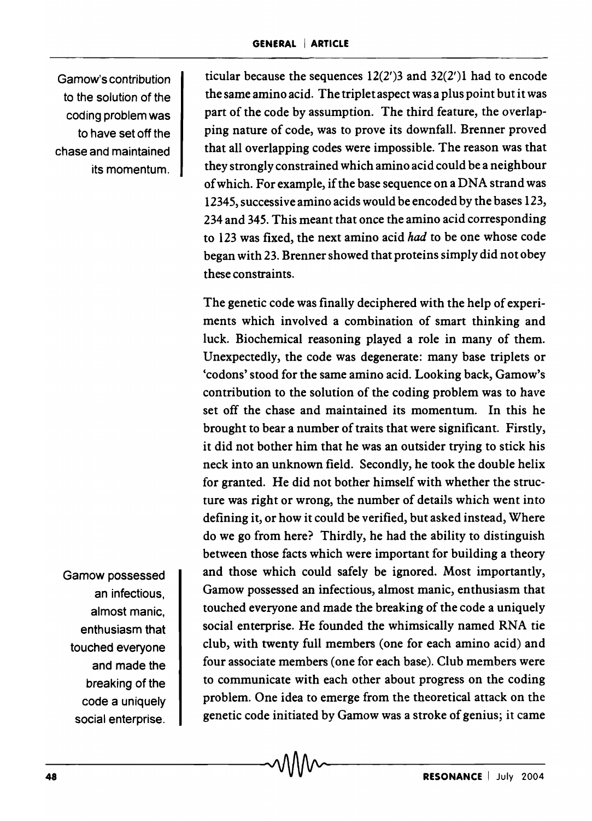Gamow's contribution to the solution of the coding problem was to have set off the chase and maintained its momentum.

ticular because the sequences  $12(2')3$  and  $32(2')1$  had to encode the same amino acid. The triplet aspect was a plus point but it was part of the code by assumption. The third feature, the overlapping nature of code, was to prove its downfall. Brenner proved that all overlapping codes were impossible. The reason was that they strongly constrained which amino acid could be a neighbour of which. For example, if the base sequence on a DNA strand was 12345, successive amino acids would be encoded by the bases 123, 234 and 345. This meant that once the amino acid corresponding to 123 was fixed, the next amino acid *had* to be one whose code began with 23. Brenner showed that proteins simply did not obey these constraints.

The genetic code was finally deciphered with the help of experiments which involved a combination of smart thinking and luck. Biochemical reasoning played a role in many of them. Unexpectedly, the code was degenerate: many base triplets or 'codons' stood for the same amino acid. Looking back, Gamow's contribution to the solution of the coding problem was to have set off the chase and maintained its momentum. In this he brought to bear a number of traits that were significant. Firstly, it did not bother him that he was an outsider trying to stick his neck into an unknown field. Secondly, he took the double helix for granted. He did not bother himself with whether the structure was right or wrong, the number of details which went into defining it, or how it could be verified, but asked instead, Where do we go from here? Thirdly, he had the ability to distinguish between those facts which were important for building a theory and those which could safely be ignored. Most importantly, Gamow possessed an infectious, almost manic, enthusiasm that touched everyone and made the breaking of the code a uniquely social enterprise. He founded the whimsically named RNA tie club, with twenty full members (one for each amino acid) and four associate members (one for each base). Club members were to communicate with each other about progress on the coding problem. One idea to emerge from the theoretical attack on the genetic code initiated by Gamow was a stroke of genius; it came

Gamow possessed an infectious, almost manic, enthusiasm that touched everyone and made the breaking of the code a uniquely social enterprise.